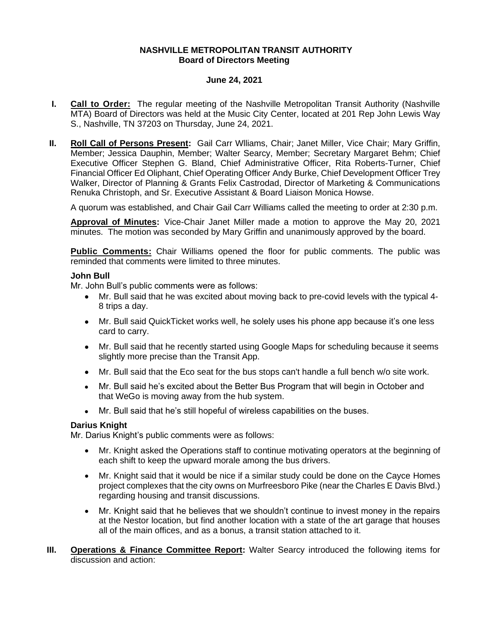## **NASHVILLE METROPOLITAN TRANSIT AUTHORITY Board of Directors Meeting**

## **June 24, 2021**

- **I. Call to Order:** The regular meeting of the Nashville Metropolitan Transit Authority (Nashville MTA) Board of Directors was held at the Music City Center, located at 201 Rep John Lewis Way S., Nashville, TN 37203 on Thursday, June 24, 2021.
- **II. Roll Call of Persons Present:** Gail Carr Wlliams, Chair; Janet Miller, Vice Chair; Mary Griffin, Member; Jessica Dauphin, Member; Walter Searcy, Member; Secretary Margaret Behm; Chief Executive Officer Stephen G. Bland, Chief Administrative Officer, Rita Roberts-Turner, Chief Financial Officer Ed Oliphant, Chief Operating Officer Andy Burke, Chief Development Officer Trey Walker, Director of Planning & Grants Felix Castrodad, Director of Marketing & Communications Renuka Christoph, and Sr. Executive Assistant & Board Liaison Monica Howse.

A quorum was established, and Chair Gail Carr Williams called the meeting to order at 2:30 p.m.

**Approval of Minutes:** Vice-Chair Janet Miller made a motion to approve the May 20, 2021 minutes. The motion was seconded by Mary Griffin and unanimously approved by the board.

**Public Comments:** Chair Williams opened the floor for public comments. The public was reminded that comments were limited to three minutes.

#### **John Bull**

Mr. John Bull's public comments were as follows:

- Mr. Bull said that he was excited about moving back to pre-covid levels with the typical 4- 8 trips a day.
- Mr. Bull said QuickTicket works well, he solely uses his phone app because it's one less card to carry.
- Mr. Bull said that he recently started using Google Maps for scheduling because it seems slightly more precise than the Transit App.
- Mr. Bull said that the Eco seat for the bus stops can't handle a full bench w/o site work.
- Mr. Bull said he's excited about the Better Bus Program that will begin in October and that WeGo is moving away from the hub system.
- Mr. Bull said that he's still hopeful of wireless capabilities on the buses.

# **Darius Knight**

Mr. Darius Knight's public comments were as follows:

- Mr. Knight asked the Operations staff to continue motivating operators at the beginning of each shift to keep the upward morale among the bus drivers.
- Mr. Knight said that it would be nice if a similar study could be done on the Cayce Homes project complexes that the city owns on Murfreesboro Pike (near the Charles E Davis Blvd.) regarding housing and transit discussions.
- Mr. Knight said that he believes that we shouldn't continue to invest money in the repairs at the Nestor location, but find another location with a state of the art garage that houses all of the main offices, and as a bonus, a transit station attached to it.
- **III. Operations & Finance Committee Report:** Walter Searcy introduced the following items for discussion and action: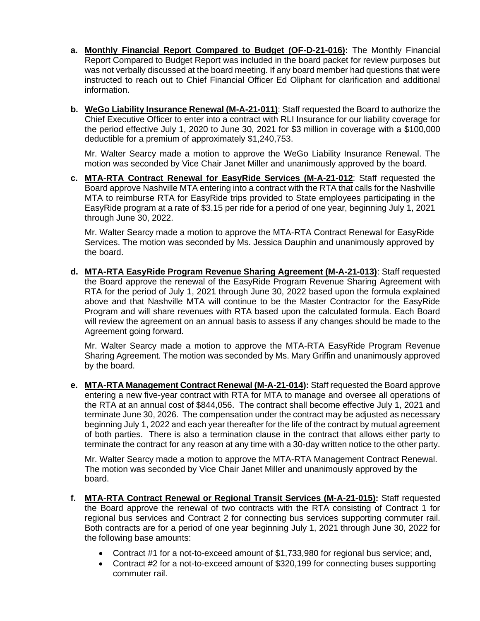- **a. Monthly Financial Report Compared to Budget (OF-D-21-016):** The Monthly Financial Report Compared to Budget Report was included in the board packet for review purposes but was not verbally discussed at the board meeting. If any board member had questions that were instructed to reach out to Chief Financial Officer Ed Oliphant for clarification and additional information.
- **b. WeGo Liability Insurance Renewal (M-A-21-011)**: Staff requested the Board to authorize the Chief Executive Officer to enter into a contract with RLI Insurance for our liability coverage for the period effective July 1, 2020 to June 30, 2021 for \$3 million in coverage with a \$100,000 deductible for a premium of approximately \$1,240,753.

Mr. Walter Searcy made a motion to approve the WeGo Liability Insurance Renewal. The motion was seconded by Vice Chair Janet Miller and unanimously approved by the board.

**c. MTA-RTA Contract Renewal for EasyRide Services (M-A-21-012**: Staff requested the Board approve Nashville MTA entering into a contract with the RTA that calls for the Nashville MTA to reimburse RTA for EasyRide trips provided to State employees participating in the EasyRide program at a rate of \$3.15 per ride for a period of one year, beginning July 1, 2021 through June 30, 2022.

Mr. Walter Searcy made a motion to approve the MTA-RTA Contract Renewal for EasyRide Services. The motion was seconded by Ms. Jessica Dauphin and unanimously approved by the board.

**d. MTA-RTA EasyRide Program Revenue Sharing Agreement (M-A-21-013)**: Staff requested the Board approve the renewal of the EasyRide Program Revenue Sharing Agreement with RTA for the period of July 1, 2021 through June 30, 2022 based upon the formula explained above and that Nashville MTA will continue to be the Master Contractor for the EasyRide Program and will share revenues with RTA based upon the calculated formula. Each Board will review the agreement on an annual basis to assess if any changes should be made to the Agreement going forward.

Mr. Walter Searcy made a motion to approve the MTA-RTA EasyRide Program Revenue Sharing Agreement. The motion was seconded by Ms. Mary Griffin and unanimously approved by the board.

**e. MTA-RTA Management Contract Renewal (M-A-21-014):** Staff requested the Board approve entering a new five-year contract with RTA for MTA to manage and oversee all operations of the RTA at an annual cost of \$844,056. The contract shall become effective July 1, 2021 and terminate June 30, 2026. The compensation under the contract may be adjusted as necessary beginning July 1, 2022 and each year thereafter for the life of the contract by mutual agreement of both parties. There is also a termination clause in the contract that allows either party to terminate the contract for any reason at any time with a 30-day written notice to the other party.

Mr. Walter Searcy made a motion to approve the MTA-RTA Management Contract Renewal. The motion was seconded by Vice Chair Janet Miller and unanimously approved by the board.

- **f. MTA-RTA Contract Renewal or Regional Transit Services (M-A-21-015):** Staff requested the Board approve the renewal of two contracts with the RTA consisting of Contract 1 for regional bus services and Contract 2 for connecting bus services supporting commuter rail. Both contracts are for a period of one year beginning July 1, 2021 through June 30, 2022 for the following base amounts:
	- Contract #1 for a not-to-exceed amount of \$1,733,980 for regional bus service; and,
	- Contract #2 for a not-to-exceed amount of \$320,199 for connecting buses supporting commuter rail.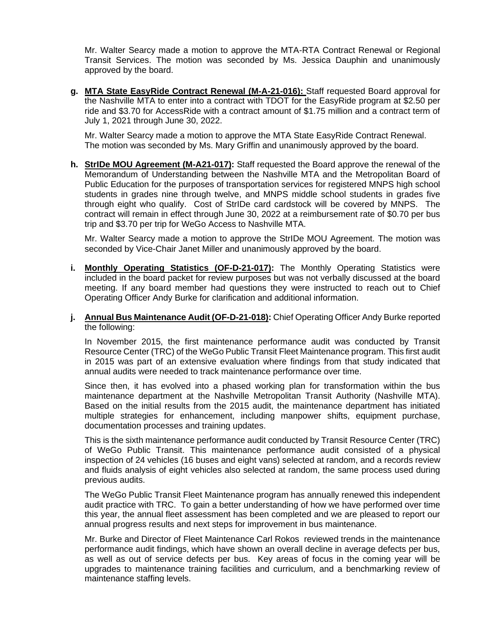Mr. Walter Searcy made a motion to approve the MTA-RTA Contract Renewal or Regional Transit Services. The motion was seconded by Ms. Jessica Dauphin and unanimously approved by the board.

**g. MTA State EasyRide Contract Renewal (M-A-21-016):** Staff requested Board approval for the Nashville MTA to enter into a contract with TDOT for the EasyRide program at \$2.50 per ride and \$3.70 for AccessRide with a contract amount of \$1.75 million and a contract term of July 1, 2021 through June 30, 2022.

Mr. Walter Searcy made a motion to approve the MTA State EasyRide Contract Renewal. The motion was seconded by Ms. Mary Griffin and unanimously approved by the board.

**h. StrIDe MOU Agreement (M-A21-017):** Staff requested the Board approve the renewal of the Memorandum of Understanding between the Nashville MTA and the Metropolitan Board of Public Education for the purposes of transportation services for registered MNPS high school students in grades nine through twelve, and MNPS middle school students in grades five through eight who qualify. Cost of StrIDe card cardstock will be covered by MNPS. The contract will remain in effect through June 30, 2022 at a reimbursement rate of \$0.70 per bus trip and \$3.70 per trip for WeGo Access to Nashville MTA.

Mr. Walter Searcy made a motion to approve the StrIDe MOU Agreement. The motion was seconded by Vice-Chair Janet Miller and unanimously approved by the board.

- **i. Monthly Operating Statistics (OF-D-21-017):** The Monthly Operating Statistics were included in the board packet for review purposes but was not verbally discussed at the board meeting. If any board member had questions they were instructed to reach out to Chief Operating Officer Andy Burke for clarification and additional information.
- **j. Annual Bus Maintenance Audit (OF-D-21-018):** Chief Operating Officer Andy Burke reported the following:

In November 2015, the first maintenance performance audit was conducted by Transit Resource Center (TRC) of the WeGo Public Transit Fleet Maintenance program. This first audit in 2015 was part of an extensive evaluation where findings from that study indicated that annual audits were needed to track maintenance performance over time.

Since then, it has evolved into a phased working plan for transformation within the bus maintenance department at the Nashville Metropolitan Transit Authority (Nashville MTA). Based on the initial results from the 2015 audit, the maintenance department has initiated multiple strategies for enhancement, including manpower shifts, equipment purchase, documentation processes and training updates.

This is the sixth maintenance performance audit conducted by Transit Resource Center (TRC) of WeGo Public Transit. This maintenance performance audit consisted of a physical inspection of 24 vehicles (16 buses and eight vans) selected at random, and a records review and fluids analysis of eight vehicles also selected at random, the same process used during previous audits.

The WeGo Public Transit Fleet Maintenance program has annually renewed this independent audit practice with TRC. To gain a better understanding of how we have performed over time this year, the annual fleet assessment has been completed and we are pleased to report our annual progress results and next steps for improvement in bus maintenance.

Mr. Burke and Director of Fleet Maintenance Carl Rokos reviewed trends in the maintenance performance audit findings, which have shown an overall decline in average defects per bus, as well as out of service defects per bus. Key areas of focus in the coming year will be upgrades to maintenance training facilities and curriculum, and a benchmarking review of maintenance staffing levels.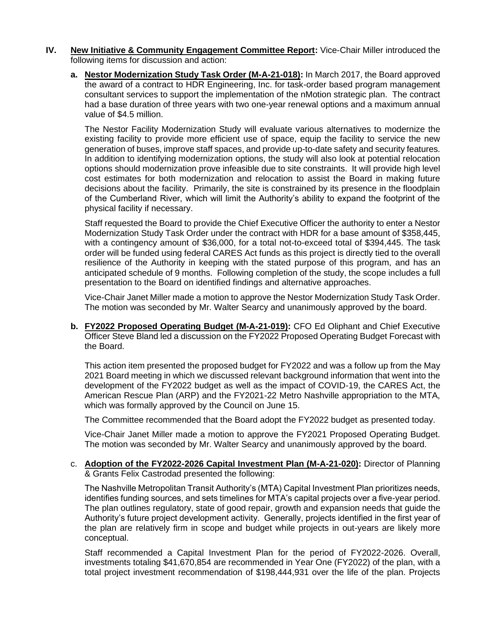- **IV. New Initiative & Community Engagement Committee Report:** Vice-Chair Miller introduced the following items for discussion and action:
	- **a. Nestor Modernization Study Task Order (M-A-21-018):** In March 2017, the Board approved the award of a contract to HDR Engineering, Inc. for task-order based program management consultant services to support the implementation of the nMotion strategic plan. The contract had a base duration of three years with two one-year renewal options and a maximum annual value of \$4.5 million.

The Nestor Facility Modernization Study will evaluate various alternatives to modernize the existing facility to provide more efficient use of space, equip the facility to service the new generation of buses, improve staff spaces, and provide up-to-date safety and security features. In addition to identifying modernization options, the study will also look at potential relocation options should modernization prove infeasible due to site constraints. It will provide high level cost estimates for both modernization and relocation to assist the Board in making future decisions about the facility. Primarily, the site is constrained by its presence in the floodplain of the Cumberland River, which will limit the Authority's ability to expand the footprint of the physical facility if necessary.

Staff requested the Board to provide the Chief Executive Officer the authority to enter a Nestor Modernization Study Task Order under the contract with HDR for a base amount of \$358,445, with a contingency amount of \$36,000, for a total not-to-exceed total of \$394,445. The task order will be funded using federal CARES Act funds as this project is directly tied to the overall resilience of the Authority in keeping with the stated purpose of this program, and has an anticipated schedule of 9 months. Following completion of the study, the scope includes a full presentation to the Board on identified findings and alternative approaches.

Vice-Chair Janet Miller made a motion to approve the Nestor Modernization Study Task Order. The motion was seconded by Mr. Walter Searcy and unanimously approved by the board.

**b. FY2022 Proposed Operating Budget (M-A-21-019):** CFO Ed Oliphant and Chief Executive Officer Steve Bland led a discussion on the FY2022 Proposed Operating Budget Forecast with the Board.

This action item presented the proposed budget for FY2022 and was a follow up from the May 2021 Board meeting in which we discussed relevant background information that went into the development of the FY2022 budget as well as the impact of COVID-19, the CARES Act, the American Rescue Plan (ARP) and the FY2021-22 Metro Nashville appropriation to the MTA, which was formally approved by the Council on June 15.

The Committee recommended that the Board adopt the FY2022 budget as presented today.

Vice-Chair Janet Miller made a motion to approve the FY2021 Proposed Operating Budget. The motion was seconded by Mr. Walter Searcy and unanimously approved by the board.

c. **Adoption of the FY2022-2026 Capital Investment Plan (M-A-21-020):** Director of Planning & Grants Felix Castrodad presented the following:

The Nashville Metropolitan Transit Authority's (MTA) Capital Investment Plan prioritizes needs, identifies funding sources, and sets timelines for MTA's capital projects over a five-year period. The plan outlines regulatory, state of good repair, growth and expansion needs that guide the Authority's future project development activity. Generally, projects identified in the first year of the plan are relatively firm in scope and budget while projects in out-years are likely more conceptual.

Staff recommended a Capital Investment Plan for the period of FY2022-2026. Overall, investments totaling \$41,670,854 are recommended in Year One (FY2022) of the plan, with a total project investment recommendation of \$198,444,931 over the life of the plan. Projects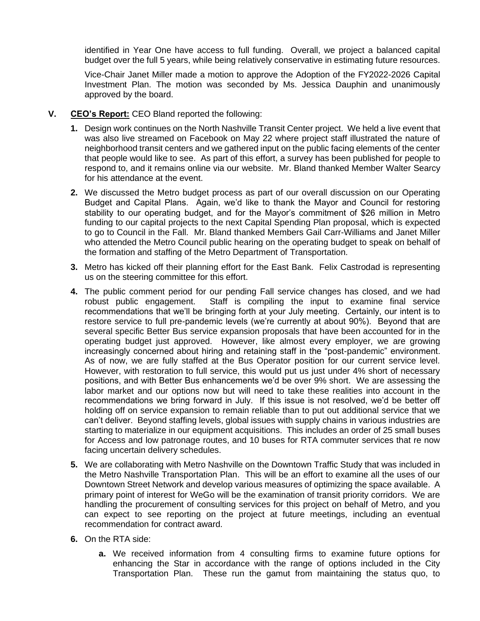identified in Year One have access to full funding. Overall, we project a balanced capital budget over the full 5 years, while being relatively conservative in estimating future resources.

Vice-Chair Janet Miller made a motion to approve the Adoption of the FY2022-2026 Capital Investment Plan. The motion was seconded by Ms. Jessica Dauphin and unanimously approved by the board.

- **V. CEO's Report:** CEO Bland reported the following:
	- **1.** Design work continues on the North Nashville Transit Center project. We held a live event that was also live streamed on Facebook on May 22 where project staff illustrated the nature of neighborhood transit centers and we gathered input on the public facing elements of the center that people would like to see. As part of this effort, a survey has been published for people to respond to, and it remains online via our website. Mr. Bland thanked Member Walter Searcy for his attendance at the event.
	- **2.** We discussed the Metro budget process as part of our overall discussion on our Operating Budget and Capital Plans. Again, we'd like to thank the Mayor and Council for restoring stability to our operating budget, and for the Mayor's commitment of \$26 million in Metro funding to our capital projects to the next Capital Spending Plan proposal, which is expected to go to Council in the Fall. Mr. Bland thanked Members Gail Carr-Williams and Janet Miller who attended the Metro Council public hearing on the operating budget to speak on behalf of the formation and staffing of the Metro Department of Transportation.
	- **3.** Metro has kicked off their planning effort for the East Bank. Felix Castrodad is representing us on the steering committee for this effort.
	- **4.** The public comment period for our pending Fall service changes has closed, and we had robust public engagement. Staff is compiling the input to examine final service recommendations that we'll be bringing forth at your July meeting. Certainly, our intent is to restore service to full pre-pandemic levels (we're currently at about 90%). Beyond that are several specific Better Bus service expansion proposals that have been accounted for in the operating budget just approved. However, like almost every employer, we are growing increasingly concerned about hiring and retaining staff in the "post-pandemic" environment. As of now, we are fully staffed at the Bus Operator position for our current service level. However, with restoration to full service, this would put us just under 4% short of necessary positions, and with Better Bus enhancements we'd be over 9% short. We are assessing the labor market and our options now but will need to take these realities into account in the recommendations we bring forward in July. If this issue is not resolved, we'd be better off holding off on service expansion to remain reliable than to put out additional service that we can't deliver. Beyond staffing levels, global issues with supply chains in various industries are starting to materialize in our equipment acquisitions. This includes an order of 25 small buses for Access and low patronage routes, and 10 buses for RTA commuter services that re now facing uncertain delivery schedules.
	- **5.** We are collaborating with Metro Nashville on the Downtown Traffic Study that was included in the Metro Nashville Transportation Plan. This will be an effort to examine all the uses of our Downtown Street Network and develop various measures of optimizing the space available. A primary point of interest for WeGo will be the examination of transit priority corridors. We are handling the procurement of consulting services for this project on behalf of Metro, and you can expect to see reporting on the project at future meetings, including an eventual recommendation for contract award.
	- **6.** On the RTA side:
		- **a.** We received information from 4 consulting firms to examine future options for enhancing the Star in accordance with the range of options included in the City Transportation Plan. These run the gamut from maintaining the status quo, to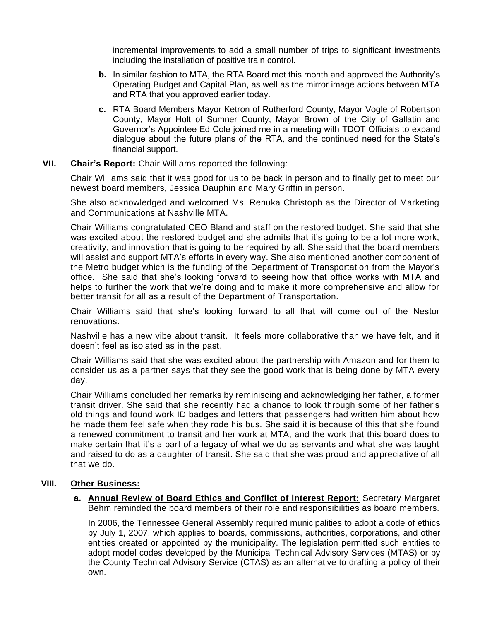incremental improvements to add a small number of trips to significant investments including the installation of positive train control.

- **b.** In similar fashion to MTA, the RTA Board met this month and approved the Authority's Operating Budget and Capital Plan, as well as the mirror image actions between MTA and RTA that you approved earlier today.
- **c.** RTA Board Members Mayor Ketron of Rutherford County, Mayor Vogle of Robertson County, Mayor Holt of Sumner County, Mayor Brown of the City of Gallatin and Governor's Appointee Ed Cole joined me in a meeting with TDOT Officials to expand dialogue about the future plans of the RTA, and the continued need for the State's financial support.

## **VII. Chair's Report:** Chair Williams reported the following:

Chair Williams said that it was good for us to be back in person and to finally get to meet our newest board members, Jessica Dauphin and Mary Griffin in person.

She also acknowledged and welcomed Ms. Renuka Christoph as the Director of Marketing and Communications at Nashville MTA.

Chair Williams congratulated CEO Bland and staff on the restored budget. She said that she was excited about the restored budget and she admits that it's going to be a lot more work, creativity, and innovation that is going to be required by all. She said that the board members will assist and support MTA's efforts in every way. She also mentioned another component of the Metro budget which is the funding of the Department of Transportation from the Mayor's office. She said that she's looking forward to seeing how that office works with MTA and helps to further the work that we're doing and to make it more comprehensive and allow for better transit for all as a result of the Department of Transportation.

Chair Williams said that she's looking forward to all that will come out of the Nestor renovations.

Nashville has a new vibe about transit. It feels more collaborative than we have felt, and it doesn't feel as isolated as in the past.

Chair Williams said that she was excited about the partnership with Amazon and for them to consider us as a partner says that they see the good work that is being done by MTA every day.

Chair Williams concluded her remarks by reminiscing and acknowledging her father, a former transit driver. She said that she recently had a chance to look through some of her father's old things and found work ID badges and letters that passengers had written him about how he made them feel safe when they rode his bus. She said it is because of this that she found a renewed commitment to transit and her work at MTA, and the work that this board does to make certain that it's a part of a legacy of what we do as servants and what she was taught and raised to do as a daughter of transit. She said that she was proud and appreciative of all that we do.

# **VIII. Other Business:**

**a. Annual Review of Board Ethics and Conflict of interest Report:** Secretary Margaret Behm reminded the board members of their role and responsibilities as board members.

In 2006, the Tennessee General Assembly required municipalities to adopt a code of ethics by July 1, 2007, which applies to boards, commissions, authorities, corporations, and other entities created or appointed by the municipality. The legislation permitted such entities to adopt model codes developed by the Municipal Technical Advisory Services (MTAS) or by the County Technical Advisory Service (CTAS) as an alternative to drafting a policy of their own.